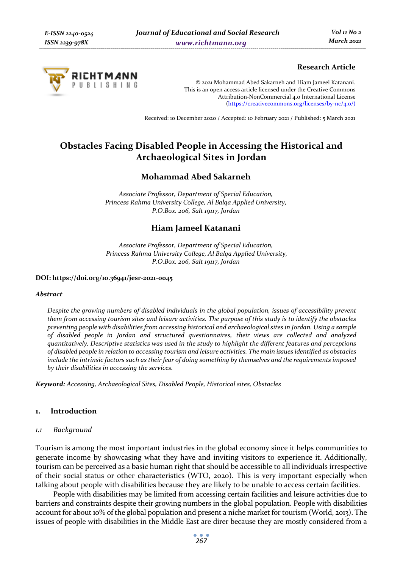

## **Research Article**

© 2021 Mohammad Abed Sakarneh and Hiam Jameel Katanani. This is an open access article licensed under the Creative Commons Attribution-NonCommercial 4.0 International License (https://creativecommons.org/licenses/by-nc/4.0/)

Received: 10 December 2020 / Accepted: 10 February 2021 / Published: 5 March 2021

# **Obstacles Facing Disabled People in Accessing the Historical and Archaeological Sites in Jordan**

## **Mohammad Abed Sakarneh**

*Associate Professor, Department of Special Education, Princess Rahma University College, Al Balqa Applied University, P.O.Box. 206, Salt 19117, Jordan* 

## **Hiam Jameel Katanani**

*Associate Professor, Department of Special Education, Princess Rahma University College, Al Balqa Applied University, P.O.Box. 206, Salt 19117, Jordan* 

#### **DOI: https://doi.org/10.36941/jesr-2021-0045**

#### *Abstract*

*Despite the growing numbers of disabled individuals in the global population, issues of accessibility prevent them from accessing tourism sites and leisure activities. The purpose of this study is to identify the obstacles preventing people with disabilities from accessing historical and archaeological sites in Jordan. Using a sample of disabled people in Jordan and structured questionnaires, their views are collected and analyzed quantitatively. Descriptive statistics was used in the study to highlight the different features and perceptions of disabled people in relation to accessing tourism and leisure activities. The main issues identified as obstacles include the intrinsic factors such as their fear of doing something by themselves and the requirements imposed by their disabilities in accessing the services.* 

*Keyword: Accessing, Archaeological Sites, Disabled People, Historical sites, Obstacles* 

#### **1. Introduction**

#### *1.1 Background*

Tourism is among the most important industries in the global economy since it helps communities to generate income by showcasing what they have and inviting visitors to experience it. Additionally, tourism can be perceived as a basic human right that should be accessible to all individuals irrespective of their social status or other characteristics (WTO, 2020). This is very important especially when talking about people with disabilities because they are likely to be unable to access certain facilities.

People with disabilities may be limited from accessing certain facilities and leisure activities due to barriers and constraints despite their growing numbers in the global population. People with disabilities account for about 10% of the global population and present a niche market for tourism (World, 2013). The issues of people with disabilities in the Middle East are direr because they are mostly considered from a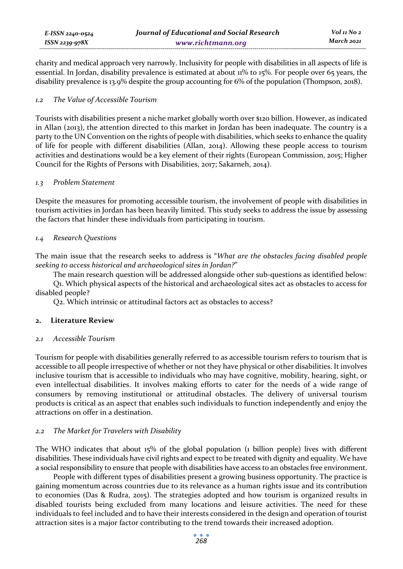charity and medical approach very narrowly. Inclusivity for people with disabilities in all aspects of life is essential. In Jordan, disability prevalence is estimated at about 11% to 15%. For people over 65 years, the disability prevalence is 13.9% despite the group accounting for 6% of the population (Thompson, 2018).

## *1.2 The Value of Accessible Tourism*

Tourists with disabilities present a niche market globally worth over \$120 billion. However, as indicated in Allan (2013), the attention directed to this market in Jordan has been inadequate. The country is a party to the UN Convention on the rights of people with disabilities, which seeks to enhance the quality of life for people with different disabilities (Allan, 2014). Allowing these people access to tourism activities and destinations would be a key element of their rights (European Commission, 2015; Higher Council for the Rights of Persons with Disabilities, 2017; Sakarneh, 2014).

## *1.3 Problem Statement*

Despite the measures for promoting accessible tourism, the involvement of people with disabilities in tourism activities in Jordan has been heavily limited. This study seeks to address the issue by assessing the factors that hinder these individuals from participating in tourism.

## *1.4 Research Questions*

The main issue that the research seeks to address is "*What are the obstacles facing disabled people seeking to access historical and archaeological sites in Jordan?*"

The main research question will be addressed alongside other sub-questions as identified below: Q1. Which physical aspects of the historical and archaeological sites act as obstacles to access for disabled people?

Q2. Which intrinsic or attitudinal factors act as obstacles to access?

## **2. Literature Review**

## *2.1 Accessible Tourism*

Tourism for people with disabilities generally referred to as accessible tourism refers to tourism that is accessible to all people irrespective of whether or not they have physical or other disabilities. It involves inclusive tourism that is accessible to individuals who may have cognitive, mobility, hearing, sight, or even intellectual disabilities. It involves making efforts to cater for the needs of a wide range of consumers by removing institutional or attitudinal obstacles. The delivery of universal tourism products is critical as an aspect that enables such individuals to function independently and enjoy the attractions on offer in a destination.

## *2.2 The Market for Travelers with Disability*

The WHO indicates that about 15% of the global population (1 billion people) lives with different disabilities. These individuals have civil rights and expect to be treated with dignity and equality. We have a social responsibility to ensure that people with disabilities have access to an obstacles free environment.

People with different types of disabilities present a growing business opportunity. The practice is gaining momentum across countries due to its relevance as a human rights issue and its contribution to economies (Das & Rudra, 2015). The strategies adopted and how tourism is organized results in disabled tourists being excluded from many locations and leisure activities. The need for these individuals to feel included and to have their interests considered in the design and operation of tourist attraction sites is a major factor contributing to the trend towards their increased adoption.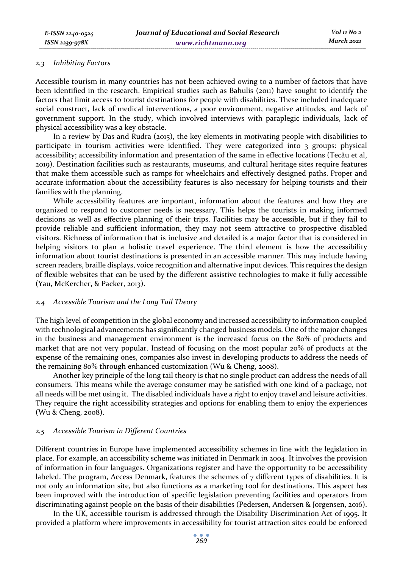#### *2.3 Inhibiting Factors*

Accessible tourism in many countries has not been achieved owing to a number of factors that have been identified in the research. Empirical studies such as Bahulis (2011) have sought to identify the factors that limit access to tourist destinations for people with disabilities. These included inadequate social construct, lack of medical interventions, a poor environment, negative attitudes, and lack of government support. In the study, which involved interviews with paraplegic individuals, lack of physical accessibility was a key obstacle.

In a review by Das and Rudra (2015), the key elements in motivating people with disabilities to participate in tourism activities were identified. They were categorized into 3 groups: physical accessibility; accessibility information and presentation of the same in effective locations (Tecău et al, 2019). Destination facilities such as restaurants, museums, and cultural heritage sites require features that make them accessible such as ramps for wheelchairs and effectively designed paths. Proper and accurate information about the accessibility features is also necessary for helping tourists and their families with the planning.

While accessibility features are important, information about the features and how they are organized to respond to customer needs is necessary. This helps the tourists in making informed decisions as well as effective planning of their trips. Facilities may be accessible, but if they fail to provide reliable and sufficient information, they may not seem attractive to prospective disabled visitors. Richness of information that is inclusive and detailed is a major factor that is considered in helping visitors to plan a holistic travel experience. The third element is how the accessibility information about tourist destinations is presented in an accessible manner. This may include having screen readers, braille displays, voice recognition and alternative input devices. This requires the design of flexible websites that can be used by the different assistive technologies to make it fully accessible (Yau, McKercher, & Packer, 2013).

#### *2.4 Accessible Tourism and the Long Tail Theory*

The high level of competition in the global economy and increased accessibility to information coupled with technological advancements has significantly changed business models. One of the major changes in the business and management environment is the increased focus on the 80% of products and market that are not very popular. Instead of focusing on the most popular 20% of products at the expense of the remaining ones, companies also invest in developing products to address the needs of the remaining 80% through enhanced customization (Wu & Cheng, 2008).

Another key principle of the long tail theory is that no single product can address the needs of all consumers. This means while the average consumer may be satisfied with one kind of a package, not all needs will be met using it. The disabled individuals have a right to enjoy travel and leisure activities. They require the right accessibility strategies and options for enabling them to enjoy the experiences (Wu & Cheng, 2008).

#### *2.5 Accessible Tourism in Different Countries*

Different countries in Europe have implemented accessibility schemes in line with the legislation in place. For example, an accessibility scheme was initiated in Denmark in 2004. It involves the provision of information in four languages. Organizations register and have the opportunity to be accessibility labeled. The program, Access Denmark, features the schemes of  $7$  different types of disabilities. It is not only an information site, but also functions as a marketing tool for destinations. This aspect has been improved with the introduction of specific legislation preventing facilities and operators from discriminating against people on the basis of their disabilities (Pedersen, Andersen & Jorgensen, 2016).

In the UK, accessible tourism is addressed through the Disability Discrimination Act of 1995. It provided a platform where improvements in accessibility for tourist attraction sites could be enforced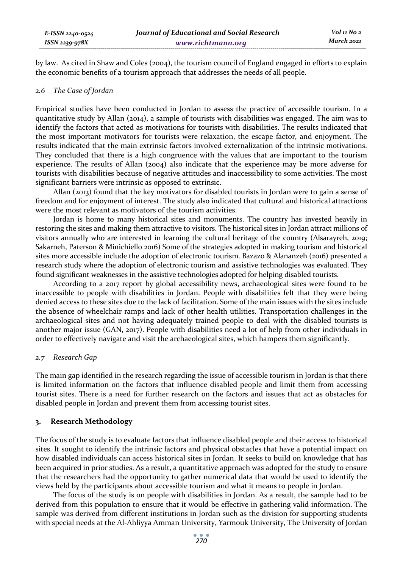by law. As cited in Shaw and Coles (2004), the tourism council of England engaged in efforts to explain the economic benefits of a tourism approach that addresses the needs of all people.

#### *2.6 The Case of Jordan*

Empirical studies have been conducted in Jordan to assess the practice of accessible tourism. In a quantitative study by Allan (2014), a sample of tourists with disabilities was engaged. The aim was to identify the factors that acted as motivations for tourists with disabilities. The results indicated that the most important motivators for tourists were relaxation, the escape factor, and enjoyment. The results indicated that the main extrinsic factors involved externalization of the intrinsic motivations. They concluded that there is a high congruence with the values that are important to the tourism experience. The results of Allan (2004) also indicate that the experience may be more adverse for tourists with disabilities because of negative attitudes and inaccessibility to some activities. The most significant barriers were intrinsic as opposed to extrinsic.

Allan (2013) found that the key motivators for disabled tourists in Jordan were to gain a sense of freedom and for enjoyment of interest. The study also indicated that cultural and historical attractions were the most relevant as motivators of the tourism activities.

Jordan is home to many historical sites and monuments. The country has invested heavily in restoring the sites and making them attractive to visitors. The historical sites in Jordan attract millions of visitors annually who are interested in learning the cultural heritage of the country (Alsarayreh, 2019; Sakarneh, Paterson & Minichiello 2016) Some of the strategies adopted in making tourism and historical sites more accessible include the adoption of electronic tourism. Bazazo & Alananzeh (2016) presented a research study where the adoption of electronic tourism and assistive technologies was evaluated. They found significant weaknesses in the assistive technologies adopted for helping disabled tourists.

According to a 2017 report by global accessibility news, archaeological sites were found to be inaccessible to people with disabilities in Jordan. People with disabilities felt that they were being denied access to these sites due to the lack of facilitation. Some of the main issues with the sites include the absence of wheelchair ramps and lack of other health utilities. Transportation challenges in the archaeological sites and not having adequately trained people to deal with the disabled tourists is another major issue (GAN, 2017). People with disabilities need a lot of help from other individuals in order to effectively navigate and visit the archaeological sites, which hampers them significantly.

#### *2.7 Research Gap*

The main gap identified in the research regarding the issue of accessible tourism in Jordan is that there is limited information on the factors that influence disabled people and limit them from accessing tourist sites. There is a need for further research on the factors and issues that act as obstacles for disabled people in Jordan and prevent them from accessing tourist sites.

#### **3. Research Methodology**

The focus of the study is to evaluate factors that influence disabled people and their access to historical sites. It sought to identify the intrinsic factors and physical obstacles that have a potential impact on how disabled individuals can access historical sites in Jordan. It seeks to build on knowledge that has been acquired in prior studies. As a result, a quantitative approach was adopted for the study to ensure that the researchers had the opportunity to gather numerical data that would be used to identify the views held by the participants about accessible tourism and what it means to people in Jordan.

The focus of the study is on people with disabilities in Jordan. As a result, the sample had to be derived from this population to ensure that it would be effective in gathering valid information. The sample was derived from different institutions in Jordan such as the division for supporting students with special needs at the Al-Ahliyya Amman University, Yarmouk University, The University of Jordan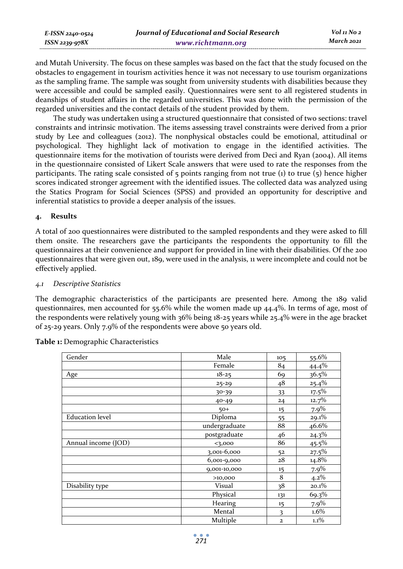| E-ISSN 2240-0524 | Journal of Educational and Social Research | Vol 11 No 2 |
|------------------|--------------------------------------------|-------------|
| ISSN 2239-978X   | www.richtmann.org                          | March 2021  |

and Mutah University. The focus on these samples was based on the fact that the study focused on the obstacles to engagement in tourism activities hence it was not necessary to use tourism organizations as the sampling frame. The sample was sought from university students with disabilities because they were accessible and could be sampled easily. Questionnaires were sent to all registered students in deanships of student affairs in the regarded universities. This was done with the permission of the regarded universities and the contact details of the student provided by them.

The study was undertaken using a structured questionnaire that consisted of two sections: travel constraints and intrinsic motivation. The items assessing travel constraints were derived from a prior study by Lee and colleagues (2012). The nonphysical obstacles could be emotional, attitudinal or psychological. They highlight lack of motivation to engage in the identified activities. The questionnaire items for the motivation of tourists were derived from Deci and Ryan (2004). All items in the questionnaire consisted of Likert Scale answers that were used to rate the responses from the participants. The rating scale consisted of  $\frac{1}{2}$  points ranging from not true (1) to true ( $\frac{1}{2}$ ) hence higher scores indicated stronger agreement with the identified issues. The collected data was analyzed using the Statics Program for Social Sciences (SPSS) and provided an opportunity for descriptive and inferential statistics to provide a deeper analysis of the issues.

## **4. Results**

A total of 200 questionnaires were distributed to the sampled respondents and they were asked to fill them onsite. The researchers gave the participants the respondents the opportunity to fill the questionnaires at their convenience and support for provided in line with their disabilities. Of the 200 questionnaires that were given out, 189, were used in the analysis, 11 were incomplete and could not be effectively applied.

## *4.1 Descriptive Statistics*

The demographic characteristics of the participants are presented here. Among the 189 valid questionnaires, men accounted for 55.6% while the women made up 44.4%. In terms of age, most of the respondents were relatively young with 36% being 18-25 years while 25.4% were in the age bracket of 25-29 years. Only 7.9% of the respondents were above 50 years old.

| Gender                 | Male          | 105          | 55.6%    |
|------------------------|---------------|--------------|----------|
|                        | Female        | 84           | 44.4%    |
| Age                    | $18 - 25$     | 69           | 36.5%    |
|                        | $25 - 29$     | 48           | 25.4%    |
|                        | 30-39         | 33           | $17.5\%$ |
|                        | 40-49         | 24           | 12.7%    |
|                        | $50+$         | 15           | 7.9%     |
| <b>Education</b> level | Diploma       | 55           | 29.1%    |
|                        | undergraduate | 88           | 46.6%    |
|                        | postgraduate  | 46           | $24.3\%$ |
| Annual income (JOD)    | 3,000         | 86           | $45.5\%$ |
|                        | 3,001-6,000   | 52           | $27.5\%$ |
|                        | 6,001-9,000   | 28           | 14.8%    |
|                        | 9,001-10,000  | 15           | $7.9\%$  |
|                        | >10,000       | 8            | $4.2\%$  |
| Disability type        | Visual        | 38           | 20.1%    |
|                        | Physical      | 131          | 69.3%    |
|                        | Hearing       | 15           | 7.9%     |
|                        | Mental        | 3            | 1.6%     |
|                        | Multiple      | $\mathbf{2}$ | $1.1\%$  |

**Table 1:** Demographic Characteristics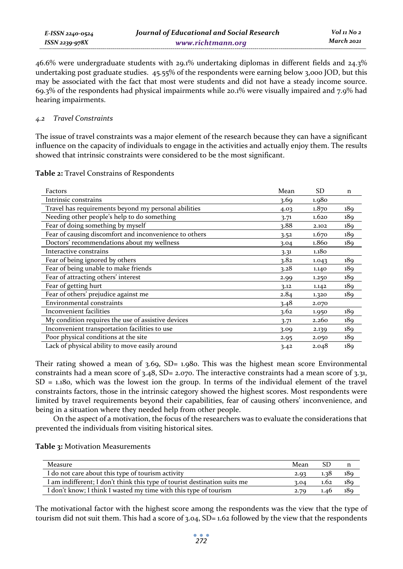*E-ISSN 2240-0524 ISSN 2239-978X Journal of Educational and Social Research www.richtmann.org* 

46.6% were undergraduate students with 29.1% undertaking diplomas in different fields and 24.3% undertaking post graduate studies. 45.55% of the respondents were earning below 3,000 JOD, but this may be associated with the fact that most were students and did not have a steady income source. 69.3% of the respondents had physical impairments while 20.1% were visually impaired and 7.9% had hearing impairments.

## *4.2 Travel Constraints*

The issue of travel constraints was a major element of the research because they can have a significant influence on the capacity of individuals to engage in the activities and actually enjoy them. The results showed that intrinsic constraints were considered to be the most significant.

|  |  |  |  |  |  | <b>Table 2:</b> Travel Constrains of Respondents |
|--|--|--|--|--|--|--------------------------------------------------|
|--|--|--|--|--|--|--------------------------------------------------|

| Factors                                                | Mean | <b>SD</b> | n               |
|--------------------------------------------------------|------|-----------|-----------------|
| Intrinsic constrains                                   | 3.69 | 1.980     |                 |
| Travel has requirements beyond my personal abilities   | 4.03 | 1.870     | 189             |
| Needing other people's help to do something            | 3.71 | 1.620     | 189             |
| Fear of doing something by myself                      | 3.88 | 2.102     | 189             |
| Fear of causing discomfort and inconvenience to others | 3.52 | 1.670     | 18 <sub>9</sub> |
| Doctors' recommendations about my wellness             | 3.04 | 1.860     | 189             |
| Interactive constrains                                 | 3.31 | 1.180     |                 |
| Fear of being ignored by others                        | 3.82 | 1.043     | 18 <sub>9</sub> |
| Fear of being unable to make friends                   | 3.28 | 1.140     | 18 <sub>9</sub> |
| Fear of attracting others' interest                    | 2.99 | 1.250     | 18 <sub>9</sub> |
| Fear of getting hurt                                   | 3.12 | 1.142     | 189             |
| Fear of others' prejudice against me                   | 2.84 | 1.320     | 189             |
| Environmental constraints                              | 3.48 | 2.070     |                 |
| Inconvenient facilities                                | 3.62 | 1.950     | 189             |
| My condition requires the use of assistive devices     | 3.71 | 2.260     | 189             |
| Inconvenient transportation facilities to use          | 3.09 | 2.139     | 189             |
| Poor physical conditions at the site                   | 2.95 | 2.050     | 189             |
| Lack of physical ability to move easily around         | 3.42 | 2.048     | 189             |

Their rating showed a mean of  $3.69$ , SD= 1.980. This was the highest mean score Environmental constraints had a mean score of  $3.48$ , SD= 2.070. The interactive constraints had a mean score of  $3.31$ ,  $SD = 1.18$ o, which was the lowest ion the group. In terms of the individual element of the travel constraints factors, those in the intrinsic category showed the highest scores. Most respondents were limited by travel requirements beyond their capabilities, fear of causing others' inconvenience, and being in a situation where they needed help from other people.

On the aspect of a motivation, the focus of the researchers was to evaluate the considerations that prevented the individuals from visiting historical sites.

| Measure                                                                   | Mean |      |     |
|---------------------------------------------------------------------------|------|------|-----|
| I do not care about this type of tourism activity                         | 2.93 | 1.38 | 189 |
| I am indifferent; I don't think this type of tourist destination suits me |      | 1.62 | 189 |
| I don't know; I think I wasted my time with this type of tourism          |      | 1.46 | 180 |

The motivational factor with the highest score among the respondents was the view that the type of tourism did not suit them. This had a score of 3.04, SD= 1.62 followed by the view that the respondents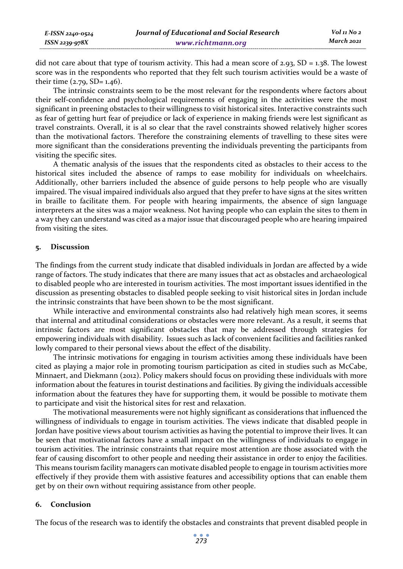| E-ISSN 2240-0524 | Journal of Educational and Social Research | Vol 11 No 2 |
|------------------|--------------------------------------------|-------------|
| ISSN 2239-978X   | www.richtmann.org                          | March 2021  |

did not care about that type of tourism activity. This had a mean score of 2.93,  $SD = 1.38$ . The lowest score was in the respondents who reported that they felt such tourism activities would be a waste of their time  $(2.79, SD = 1.46)$ .

The intrinsic constraints seem to be the most relevant for the respondents where factors about their self-confidence and psychological requirements of engaging in the activities were the most significant in preening obstacles to their willingness to visit historical sites. Interactive constraints such as fear of getting hurt fear of prejudice or lack of experience in making friends were lest significant as travel constraints. Overall, it is al so clear that the ravel constraints showed relatively higher scores than the motivational factors. Therefore the constraining elements of travelling to these sites were more significant than the considerations preventing the individuals preventing the participants from visiting the specific sites.

A thematic analysis of the issues that the respondents cited as obstacles to their access to the historical sites included the absence of ramps to ease mobility for individuals on wheelchairs. Additionally, other barriers included the absence of guide persons to help people who are visually impaired. The visual impaired individuals also argued that they prefer to have signs at the sites written in braille to facilitate them. For people with hearing impairments, the absence of sign language interpreters at the sites was a major weakness. Not having people who can explain the sites to them in a way they can understand was cited as a major issue that discouraged people who are hearing impaired from visiting the sites.

#### **5. Discussion**

The findings from the current study indicate that disabled individuals in Jordan are affected by a wide range of factors. The study indicates that there are many issues that act as obstacles and archaeological to disabled people who are interested in tourism activities. The most important issues identified in the discussion as presenting obstacles to disabled people seeking to visit historical sites in Jordan include the intrinsic constraints that have been shown to be the most significant.

While interactive and environmental constraints also had relatively high mean scores, it seems that internal and attitudinal considerations or obstacles were more relevant. As a result, it seems that intrinsic factors are most significant obstacles that may be addressed through strategies for empowering individuals with disability. Issues such as lack of convenient facilities and facilities ranked lowly compared to their personal views about the effect of the disability.

The intrinsic motivations for engaging in tourism activities among these individuals have been cited as playing a major role in promoting tourism participation as cited in studies such as McCabe, Minnaert, and Diekmann (2012). Policy makers should focus on providing these individuals with more information about the features in tourist destinations and facilities. By giving the individuals accessible information about the features they have for supporting them, it would be possible to motivate them to participate and visit the historical sites for rest and relaxation.

The motivational measurements were not highly significant as considerations that influenced the willingness of individuals to engage in tourism activities. The views indicate that disabled people in Jordan have positive views about tourism activities as having the potential to improve their lives. It can be seen that motivational factors have a small impact on the willingness of individuals to engage in tourism activities. The intrinsic constraints that require most attention are those associated with the fear of causing discomfort to other people and needing their assistance in order to enjoy the facilities. This means tourism facility managers can motivate disabled people to engage in tourism activities more effectively if they provide them with assistive features and accessibility options that can enable them get by on their own without requiring assistance from other people.

### **6. Conclusion**

The focus of the research was to identify the obstacles and constraints that prevent disabled people in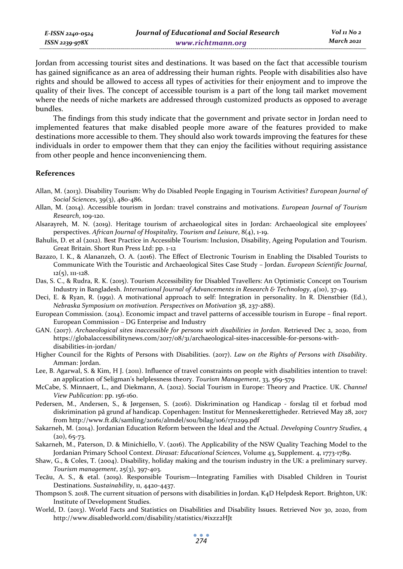Jordan from accessing tourist sites and destinations. It was based on the fact that accessible tourism has gained significance as an area of addressing their human rights. People with disabilities also have rights and should be allowed to access all types of activities for their enjoyment and to improve the quality of their lives. The concept of accessible tourism is a part of the long tail market movement where the needs of niche markets are addressed through customized products as opposed to average bundles.

The findings from this study indicate that the government and private sector in Jordan need to implemented features that make disabled people more aware of the features provided to make destinations more accessible to them. They should also work towards improving the features for these individuals in order to empower them that they can enjoy the facilities without requiring assistance from other people and hence inconveniencing them.

### **References**

- Allan, M. (2013). Disability Tourism: Why do Disabled People Engaging in Tourism Activities? *European Journal of Social Sciences*, 39(3), 480-486.
- Allan, M. (2014). Accessible tourism in Jordan: travel constrains and motivations. *European Journal of Tourism Research*, 109-120.
- Alsarayreh, M. N. (2019). Heritage tourism of archaeological sites in Jordan: Archaeological site employees' perspectives. *African Journal of Hospitality, Tourism and Leisure*, 8(4), 1-19.
- Bahulis, D. et al (2012). Best Practice in Accessible Tourism: Inclusion, Disability, Ageing Population and Tourism. Great Britain. Short Run Press Ltd: pp. 1-12
- Bazazo, I. K., & Alananzeh, O. A. (2016). The Effect of Electronic Tourism in Enabling the Disabled Tourists to Communicate With the Touristic and Archaeological Sites Case Study – Jordan. *European Scientific Journal*, 12(5), 111-128.
- Das, S. C., & Rudra, R. K. (2015). Tourism Accessibility for Disabled Travellers: An Optimistic Concept on Tourism Industry in Bangladesh. *International Journal of Advancements in Research & Technology*, 4(10), 37-49.
- Deci, E. & Ryan, R. (1991). A motivational approach to self: Integration in personality. In R. Dienstbier (Ed.), *Nebraska Symposium on motivation. Perspectives on Motivation* 38, 237-288).
- European Commission. (2014). Economic impact and travel patterns of accessible tourism in Europe final report. European Commission – DG Enterprise and Industry
- GAN. (2017). *Archaeological sites inaccessible for persons with disabilities in Jordan*. Retrieved Dec 2, 2020, from https://globalaccessibilitynews.com/2017/08/31/archaeological-sites-inaccessible-for-persons-withdisabilities-in-jordan/
- Higher Council for the Rights of Persons with Disabilities. (2017). *Law on the Rights of Persons with Disability*. Amman: Jordan.
- Lee, B. Agarwal, S. & Kim, H J. (2011). Influence of travel constraints on people with disabilities intention to travel: an application of Seligman's helplessness theory. *Tourism Management*, 33, 569-579
- McCabe, S. Minnaert, L., and Diekmann, A. (2012). Social Tourism in Europe: Theory and Practice. UK. *Channel View Publication*: pp. 156-160.
- Pedersen, M., Andersen, S., & Jørgensen, S. (2016). Diskrimination og Handicap forslag til et forbud mod diskrimination på grund af handicap. Copenhagen: Institut for Menneskerettigheder. Retrieved May 28, 2017 from http://www.ft.dk/samling/20161/almdel/sou/bilag/106/1711299.pdf
- Sakarneh, M. (2014). Jordanian Education Reform between the Ideal and the Actual. *Developing Country Studies*, 4  $(20), 65 - 73.$
- Sakarneh, M., Paterson, D. & Minichiello, V. (2016). The Applicability of the NSW Quality Teaching Model to the Jordanian Primary School Context. *Dirasat: Educational Sciences*, Volume 43, Supplement. 4, 1773-1789.
- Shaw, G., & Coles, T. (2004). Disability, holiday making and the tourism industry in the UK: a preliminary survey. *Tourism management*, 25(3), 397-403.
- Tecău, A. S., & etal. (2019). Responsible Tourism—Integrating Families with Disabled Children in Tourist Destinations. *Sustainability*, 11, 4420-4437.
- Thompson S. 2018. The current situation of persons with disabilities in Jordan. K4D Helpdesk Report. Brighton, UK: Institute of Development Studies.
- World, D. (2013). World Facts and Statistics on Disabilities and Disability Issues. Retrieved Nov 30, 2020, from http://www.disabledworld.com/disability/statistics/#ixzz2HJt